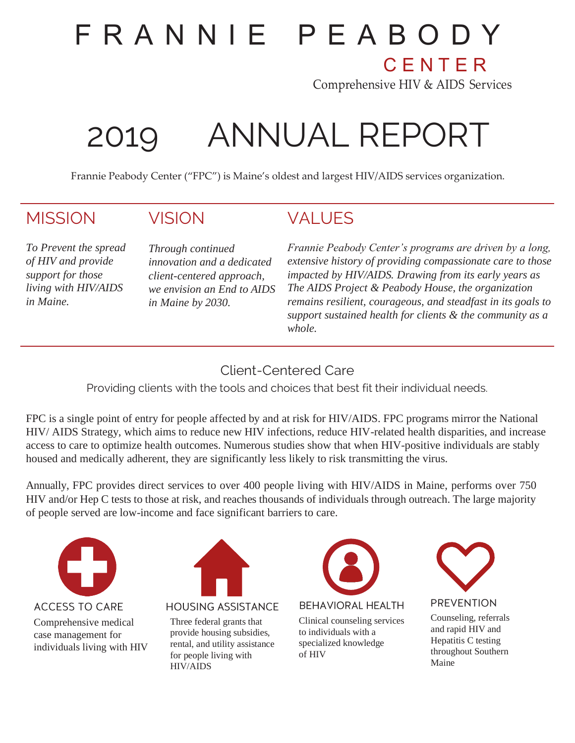# F R A N N I E P E A B O D Y

**CENTER** 

Comprehensive HIV & AIDS Services

# 2019 ANNUAL REPORT

Frannie Peabody Center ("FPC") is Maine's oldest and largest HIV/AIDS services organization.

## **MISSION**

## VISION

*To Prevent the spread of HIV and provide support for those living with HIV/AIDS in Maine.*

*Through continued innovation and a dedicated client-centered approach, we envision an End to AIDS in Maine by 2030.*

## **VALUES**

*Frannie Peabody Center's programs are driven by a long, extensive history of providing compassionate care to those impacted by HIV/AIDS. Drawing from its early years as The AIDS Project & Peabody House, the organization remains resilient, courageous, and steadfast in its goals to support sustained health for clients & the community as a whole.*

## Client-Centered Care

Providing clients with the tools and choices that best fit their individual needs.

FPC is a single point of entry for people affected by and at risk for HIV/AIDS. FPC programs mirror the National HIV/ AIDS Strategy, which aims to reduce new HIV infections, reduce HIV-related health disparities, and increase access to care to optimize health outcomes. Numerous studies show that when HIV-positive individuals are stably housed and medically adherent, they are significantly less likely to risk transmitting the virus.

Annually, FPC provides direct services to over 400 people living with HIV/AIDS in Maine, performs over 750 HIV and/or Hep C tests to those at risk, and reaches thousands of individuals through outreach. The large majority of people served are low-income and face significant barriers to care.



**ACCESS TO CARE** Comprehensive medical case management for individuals living with HIV



**HOUSING ASSISTANCE** 

Three federal grants that provide housing subsidies, rental, and utility assistance for people living with HIV/AIDS



**BEHAVIORAL HEALTH** 

Clinical counseling services to individuals with a specialized knowledge of HIV



#### **PREVENTION**

Counseling, referrals and rapid HIV and Hepatitis C testing throughout Southern Maine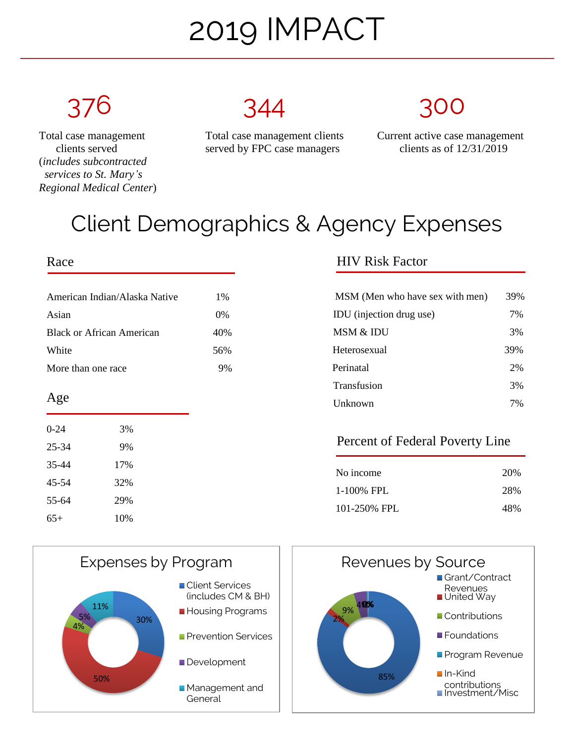# 2019 IMPACT

 (*includes subcontracted services to St. Mary's Regional Medical Center*)



clients served served by FPC case managers clients as of 12/31/2019

Total case management Total case management clients Current active case management

## Client Demographics & Agency Expenses

### Race

| American Indian/Alaska Native | $1\%$ |  |
|-------------------------------|-------|--|
| Asian                         | $0\%$ |  |
| Black or African American     | 40\%  |  |
| White                         | 56%   |  |
| More than one race            | 9%    |  |

### Age

| $0 - 24$ | 3%  |
|----------|-----|
| 25-34    | 9%  |
| 35-44    | 17% |
| 45-54    | 32% |
| 55-64    | 29% |
| 65+      | 10% |

## HIV Risk Factor

| MSM (Men who have sex with men) | 39% |
|---------------------------------|-----|
| IDU (injection drug use)        | 7%  |
| MSM & IDU                       | 3%  |
| Heterosexual                    | 39% |
| Perinatal                       | 2%  |
| Transfusion                     | 3%  |
| Unknown                         | 7%  |

### Percent of Federal Poverty Line

| No income    | 20% |
|--------------|-----|
| 1-100% FPL   | 28% |
| 101-250% FPL | 48% |